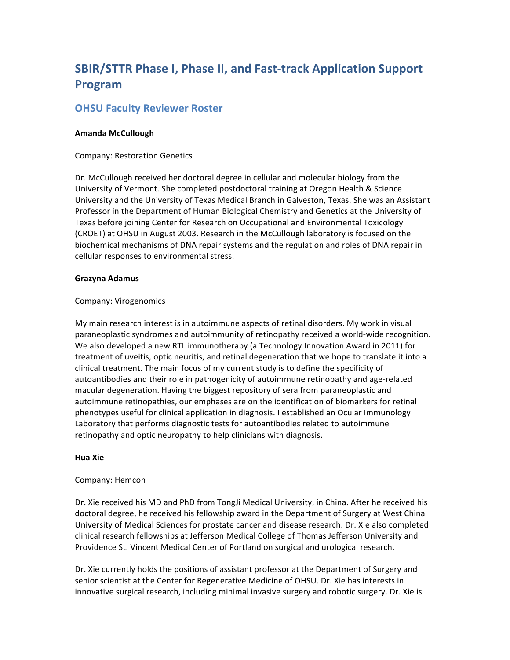# **SBIR/STTR Phase I, Phase II, and Fast-track Application Support Program**

## **OHSU Faculty Reviewer Roster**

## **Amanda McCullough**

Company: Restoration Genetics

Dr. McCullough received her doctoral degree in cellular and molecular biology from the University of Vermont. She completed postdoctoral training at Oregon Health & Science University and the University of Texas Medical Branch in Galveston, Texas. She was an Assistant Professor in the Department of Human Biological Chemistry and Genetics at the University of Texas before joining Center for Research on Occupational and Environmental Toxicology (CROET) at OHSU in August 2003. Research in the McCullough laboratory is focused on the biochemical mechanisms of DNA repair systems and the regulation and roles of DNA repair in cellular responses to environmental stress.

## **Grazyna Adamus**

## Company: Virogenomics

My main research interest is in autoimmune aspects of retinal disorders. My work in visual paraneoplastic syndromes and autoimmunity of retinopathy received a world-wide recognition. We also developed a new RTL immunotherapy (a Technology Innovation Award in 2011) for treatment of uveitis, optic neuritis, and retinal degeneration that we hope to translate it into a clinical treatment. The main focus of my current study is to define the specificity of autoantibodies and their role in pathogenicity of autoimmune retinopathy and age-related macular degeneration. Having the biggest repository of sera from paraneoplastic and autoimmune retinopathies, our emphases are on the identification of biomarkers for retinal phenotypes useful for clinical application in diagnosis. I established an Ocular Immunology Laboratory that performs diagnostic tests for autoantibodies related to autoimmune retinopathy and optic neuropathy to help clinicians with diagnosis.

#### **Hua Xie**

#### Company: Hemcon

Dr. Xie received his MD and PhD from TongJi Medical University, in China. After he received his doctoral degree, he received his fellowship award in the Department of Surgery at West China University of Medical Sciences for prostate cancer and disease research. Dr. Xie also completed clinical research fellowships at Jefferson Medical College of Thomas Jefferson University and Providence St. Vincent Medical Center of Portland on surgical and urological research.

Dr. Xie currently holds the positions of assistant professor at the Department of Surgery and senior scientist at the Center for Regenerative Medicine of OHSU. Dr. Xie has interests in innovative surgical research, including minimal invasive surgery and robotic surgery. Dr. Xie is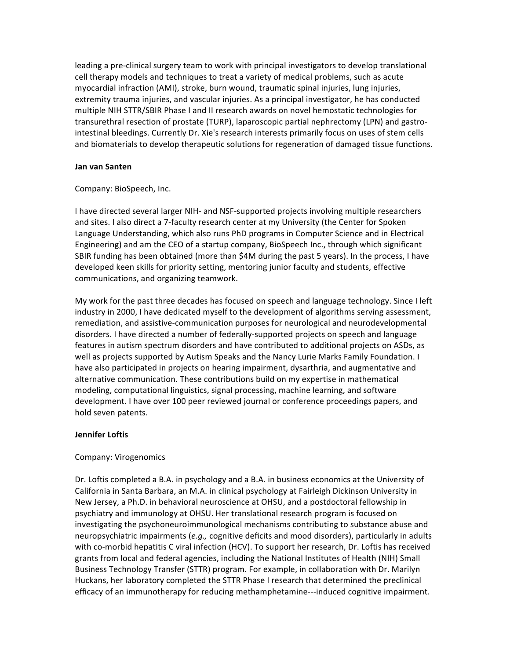leading a pre-clinical surgery team to work with principal investigators to develop translational cell therapy models and techniques to treat a variety of medical problems, such as acute myocardial infraction (AMI), stroke, burn wound, traumatic spinal injuries, lung injuries, extremity trauma injuries, and vascular injuries. As a principal investigator, he has conducted multiple NIH STTR/SBIR Phase I and II research awards on novel hemostatic technologies for transurethral resection of prostate (TURP), laparoscopic partial nephrectomy (LPN) and gastrointestinal bleedings. Currently Dr. Xie's research interests primarily focus on uses of stem cells and biomaterials to develop therapeutic solutions for regeneration of damaged tissue functions.

#### **Jan van Santen**

#### Company: BioSpeech, Inc.

I have directed several larger NIH- and NSF-supported projects involving multiple researchers and sites. I also direct a 7-faculty research center at my University (the Center for Spoken Language Understanding, which also runs PhD programs in Computer Science and in Electrical Engineering) and am the CEO of a startup company, BioSpeech Inc., through which significant SBIR funding has been obtained (more than \$4M during the past 5 years). In the process, I have developed keen skills for priority setting, mentoring junior faculty and students, effective communications, and organizing teamwork.

My work for the past three decades has focused on speech and language technology. Since I left industry in 2000, I have dedicated myself to the development of algorithms serving assessment, remediation, and assistive-communication purposes for neurological and neurodevelopmental disorders. I have directed a number of federally-supported projects on speech and language features in autism spectrum disorders and have contributed to additional projects on ASDs, as well as projects supported by Autism Speaks and the Nancy Lurie Marks Family Foundation. I have also participated in projects on hearing impairment, dysarthria, and augmentative and alternative communication. These contributions build on my expertise in mathematical modeling, computational linguistics, signal processing, machine learning, and software development. I have over 100 peer reviewed journal or conference proceedings papers, and hold seven patents.

#### **Jennifer Loftis**

#### Company: Virogenomics

Dr. Loftis completed a B.A. in psychology and a B.A. in business economics at the University of California in Santa Barbara, an M.A. in clinical psychology at Fairleigh Dickinson University in New Jersey, a Ph.D. in behavioral neuroscience at OHSU, and a postdoctoral fellowship in psychiatry and immunology at OHSU. Her translational research program is focused on investigating the psychoneuroimmunological mechanisms contributing to substance abuse and neuropsychiatric impairments (e.g., cognitive deficits and mood disorders), particularly in adults with co-morbid hepatitis C viral infection (HCV). To support her research, Dr. Loftis has received grants from local and federal agencies, including the National Institutes of Health (NIH) Small Business Technology Transfer (STTR) program. For example, in collaboration with Dr. Marilyn Huckans, her laboratory completed the STTR Phase I research that determined the preclinical efficacy of an immunotherapy for reducing methamphetamine---induced cognitive impairment.